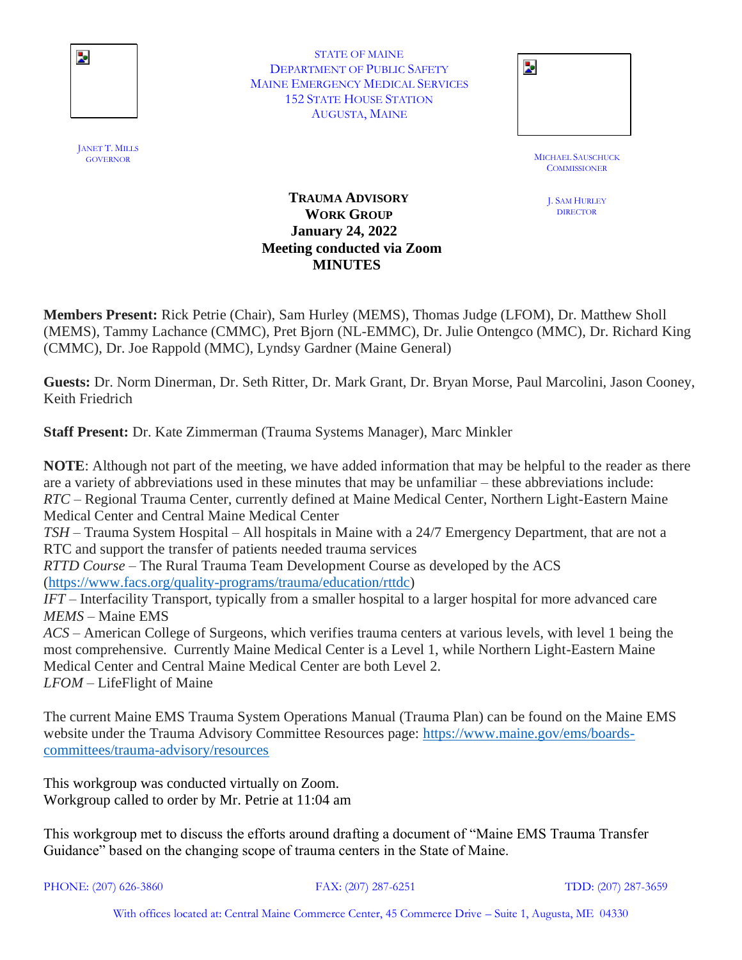

STATE OF MAINE DEPARTMENT OF PUBLIC SAFETY MAINE EMERGENCY MEDICAL SERVICES 152 STATE HOUSE STATION AUGUSTA, MAINE

| STATE OF MAINE                   |                |
|----------------------------------|----------------|
| TMENT OF PUBLIC SAFETY           | $\blacksquare$ |
| <b>IERGENCY MEDICAL SERVICES</b> |                |
| <b>STATE HOUSE STATION</b>       |                |
| AUGUSTA, MAINE                   |                |
|                                  |                |

MICHAEL SAUSCHUCK<br>GOVERNOR **COMMISSIONER** 

> J. SAM HURLEY **DIRECTOR**

## **TRAUMA ADVISORY WORK GROUP January 24, 2022 Meeting conducted via Zoom MINUTES**

**Members Present:** Rick Petrie (Chair), Sam Hurley (MEMS), Thomas Judge (LFOM), Dr. Matthew Sholl (MEMS), Tammy Lachance (CMMC), Pret Bjorn (NL-EMMC), Dr. Julie Ontengco (MMC), Dr. Richard King (CMMC), Dr. Joe Rappold (MMC), Lyndsy Gardner (Maine General)

**Guests:** Dr. Norm Dinerman, Dr. Seth Ritter, Dr. Mark Grant, Dr. Bryan Morse, Paul Marcolini, Jason Cooney, Keith Friedrich

**Staff Present:** Dr. Kate Zimmerman (Trauma Systems Manager), Marc Minkler

**NOTE**: Although not part of the meeting, we have added information that may be helpful to the reader as there are a variety of abbreviations used in these minutes that may be unfamiliar – these abbreviations include: *RTC* – Regional Trauma Center, currently defined at Maine Medical Center, Northern Light-Eastern Maine Medical Center and Central Maine Medical Center *TSH* – Trauma System Hospital – All hospitals in Maine with a 24/7 Emergency Department, that are not a RTC and support the transfer of patients needed trauma services *RTTD Course –* The Rural Trauma Team Development Course as developed by the ACS [\(https://www.facs.org/quality-programs/trauma/education/rttdc\)](https://www.facs.org/quality-programs/trauma/education/rttdc) *IFT* – Interfacility Transport, typically from a smaller hospital to a larger hospital for more advanced care *MEMS* – Maine EMS *ACS* – American College of Surgeons, which verifies trauma centers at various levels, with level 1 being the most comprehensive. Currently Maine Medical Center is a Level 1, while Northern Light-Eastern Maine Medical Center and Central Maine Medical Center are both Level 2. *LFOM* – LifeFlight of Maine

The current Maine EMS Trauma System Operations Manual (Trauma Plan) can be found on the Maine EMS website under the Trauma Advisory Committee Resources page: [https://www.maine.gov/ems/boards](https://www.maine.gov/ems/boards-committees/trauma-advisory/resources)[committees/trauma-advisory/resources](https://www.maine.gov/ems/boards-committees/trauma-advisory/resources)

This workgroup was conducted virtually on Zoom. Workgroup called to order by Mr. Petrie at 11:04 am

This workgroup met to discuss the efforts around drafting a document of "Maine EMS Trauma Transfer Guidance" based on the changing scope of trauma centers in the State of Maine.

PHONE: (207) 626-3860 FAX: (207) 287-6251 TDD: (207) 287-3659

With offices located at: Central Maine Commerce Center, 45 Commerce Drive – Suite 1, Augusta, ME 04330

JANET T. MILLS